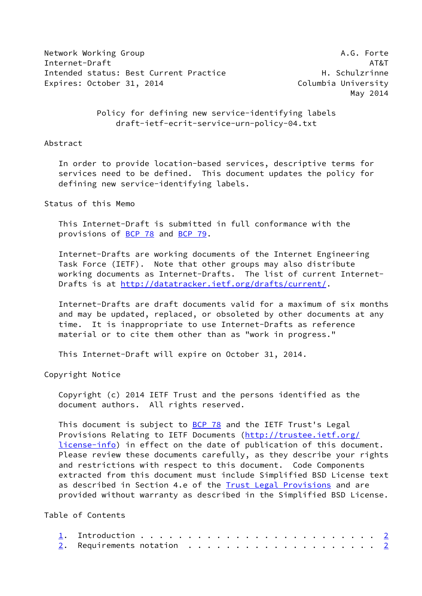Network Working Group **A.G. Forte** A.G. Forte Internet-Draft AT&T Intended status: Best Current Practice The Manusculine H. Schulzrinne Expires: October 31, 2014 Columbia University

May 2014

 Policy for defining new service-identifying labels draft-ietf-ecrit-service-urn-policy-04.txt

## Abstract

 In order to provide location-based services, descriptive terms for services need to be defined. This document updates the policy for defining new service-identifying labels.

Status of this Memo

 This Internet-Draft is submitted in full conformance with the provisions of [BCP 78](https://datatracker.ietf.org/doc/pdf/bcp78) and [BCP 79](https://datatracker.ietf.org/doc/pdf/bcp79).

 Internet-Drafts are working documents of the Internet Engineering Task Force (IETF). Note that other groups may also distribute working documents as Internet-Drafts. The list of current Internet Drafts is at<http://datatracker.ietf.org/drafts/current/>.

 Internet-Drafts are draft documents valid for a maximum of six months and may be updated, replaced, or obsoleted by other documents at any time. It is inappropriate to use Internet-Drafts as reference material or to cite them other than as "work in progress."

This Internet-Draft will expire on October 31, 2014.

Copyright Notice

 Copyright (c) 2014 IETF Trust and the persons identified as the document authors. All rights reserved.

This document is subject to **[BCP 78](https://datatracker.ietf.org/doc/pdf/bcp78)** and the IETF Trust's Legal Provisions Relating to IETF Documents ([http://trustee.ietf.org/](http://trustee.ietf.org/license-info) [license-info](http://trustee.ietf.org/license-info)) in effect on the date of publication of this document. Please review these documents carefully, as they describe your rights and restrictions with respect to this document. Code Components extracted from this document must include Simplified BSD License text as described in Section 4.e of the [Trust Legal Provisions](https://trustee.ietf.org/license-info) and are provided without warranty as described in the Simplified BSD License.

Table of Contents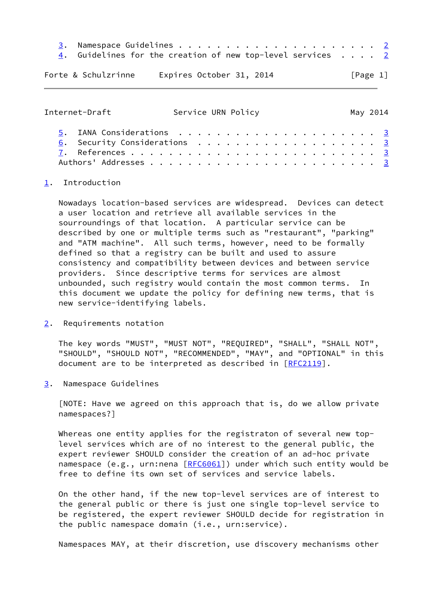- [3](#page-1-3). Namespace Guidelines . . . . . . . . . . . . . . . . . . . . . [2](#page-1-1)
- [4](#page-2-0). Guidelines for the creation of new top-level services  $\cdots$  . [2](#page-1-1)

Forte & Schulzrinne Expires October 31, 2014 [Page 1]

<span id="page-1-1"></span>Internet-Draft Service URN Policy May 2014 [5](#page-2-1). IANA Considerations . . . . . . . . . . . . . . . . . . . . . [3](#page-2-2) [6](#page-2-3). Security Considerations . . . . . . . . . . . . . . . . . . [3](#page-2-2) [7](#page-2-4). References . . . . . . . . . . . . . . . . . . . . . . . . . . [3](#page-2-2) Authors' Addresses . . . . . . . . . . . . . . . . . . . . . . . . [3](#page-2-2)

## <span id="page-1-0"></span>[1](#page-1-0). Introduction

 Nowadays location-based services are widespread. Devices can detect a user location and retrieve all available services in the sourroundings of that location. A particular service can be described by one or multiple terms such as "restaurant", "parking" and "ATM machine". All such terms, however, need to be formally defined so that a registry can be built and used to assure consistency and compatibility between devices and between service providers. Since descriptive terms for services are almost unbounded, such registry would contain the most common terms. In this document we update the policy for defining new terms, that is new service-identifying labels.

<span id="page-1-2"></span>[2](#page-1-2). Requirements notation

 The key words "MUST", "MUST NOT", "REQUIRED", "SHALL", "SHALL NOT", "SHOULD", "SHOULD NOT", "RECOMMENDED", "MAY", and "OPTIONAL" in this document are to be interpreted as described in [\[RFC2119](https://datatracker.ietf.org/doc/pdf/rfc2119)].

<span id="page-1-3"></span>[3](#page-1-3). Namespace Guidelines

 [NOTE: Have we agreed on this approach that is, do we allow private namespaces?]

Whereas one entity applies for the registraton of several new top level services which are of no interest to the general public, the expert reviewer SHOULD consider the creation of an ad-hoc private namespace (e.g., urn:nena [[RFC6061](https://datatracker.ietf.org/doc/pdf/rfc6061)]) under which such entity would be free to define its own set of services and service labels.

 On the other hand, if the new top-level services are of interest to the general public or there is just one single top-level service to be registered, the expert reviewer SHOULD decide for registration in the public namespace domain (i.e., urn:service).

Namespaces MAY, at their discretion, use discovery mechanisms other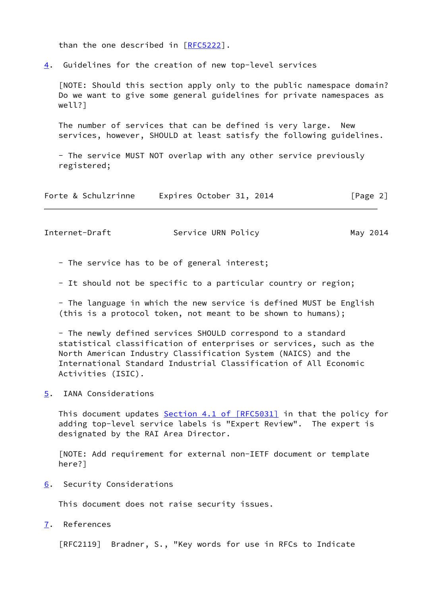than the one described in [[RFC5222](https://datatracker.ietf.org/doc/pdf/rfc5222)].

<span id="page-2-0"></span>[4](#page-2-0). Guidelines for the creation of new top-level services

 [NOTE: Should this section apply only to the public namespace domain? Do we want to give some general guidelines for private namespaces as well?]

 The number of services that can be defined is very large. New services, however, SHOULD at least satisfy the following guidelines.

 - The service MUST NOT overlap with any other service previously registered;

| Forte & Schulzrinne | Expires October 31, 2014 | [Page 2] |
|---------------------|--------------------------|----------|
|---------------------|--------------------------|----------|

<span id="page-2-2"></span>Internet-Draft Service URN Policy May 2014

- The service has to be of general interest;
- It should not be specific to a particular country or region;

 - The language in which the new service is defined MUST be English (this is a protocol token, not meant to be shown to humans);

 - The newly defined services SHOULD correspond to a standard statistical classification of enterprises or services, such as the North American Industry Classification System (NAICS) and the International Standard Industrial Classification of All Economic Activities (ISIC).

<span id="page-2-1"></span>[5](#page-2-1). IANA Considerations

This document updates Section [4.1 of \[RFC5031\]](https://datatracker.ietf.org/doc/pdf/rfc5031#section-4.1) in that the policy for adding top-level service labels is "Expert Review". The expert is designated by the RAI Area Director.

 [NOTE: Add requirement for external non-IETF document or template here?]

<span id="page-2-3"></span>[6](#page-2-3). Security Considerations

This document does not raise security issues.

<span id="page-2-4"></span>[7](#page-2-4). References

[RFC2119] Bradner, S., "Key words for use in RFCs to Indicate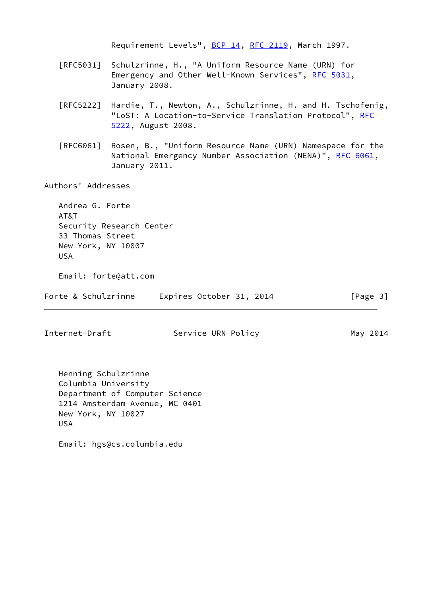Requirement Levels", [BCP 14](https://datatracker.ietf.org/doc/pdf/bcp14), [RFC 2119](https://datatracker.ietf.org/doc/pdf/rfc2119), March 1997.

- [RFC5031] Schulzrinne, H., "A Uniform Resource Name (URN) for Emergency and Other Well-Known Services", [RFC 5031](https://datatracker.ietf.org/doc/pdf/rfc5031), January 2008.
- [RFC5222] Hardie, T., Newton, A., Schulzrinne, H. and H. Tschofenig, "LoST: A Location-to-Service Translation Protocol", [RFC](https://datatracker.ietf.org/doc/pdf/rfc5222) [5222,](https://datatracker.ietf.org/doc/pdf/rfc5222) August 2008.
- [RFC6061] Rosen, B., "Uniform Resource Name (URN) Namespace for the National Emergency Number Association (NENA)", [RFC 6061](https://datatracker.ietf.org/doc/pdf/rfc6061), January 2011.

Authors' Addresses

 Andrea G. Forte AT&T Security Research Center 33 Thomas Street New York, NY 10007 USA

Email: forte@att.com

Forte & Schulzrinne Expires October 31, 2014 [Page 3]

Internet-Draft Service URN Policy May 2014

 Henning Schulzrinne Columbia University Department of Computer Science 1214 Amsterdam Avenue, MC 0401 New York, NY 10027 USA

Email: hgs@cs.columbia.edu